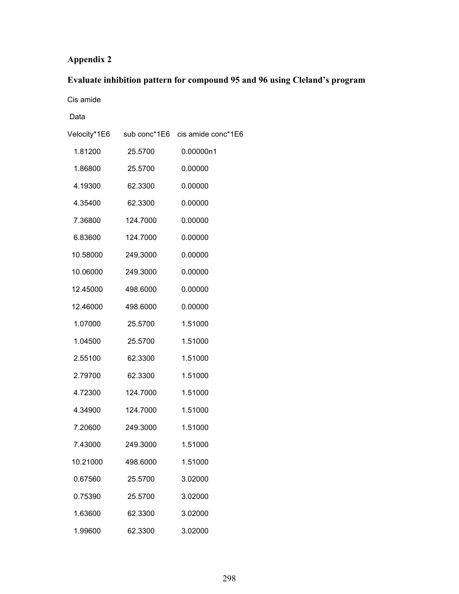## **Appendix 2**

# **Evaluate inhibition pattern for compound 95 and 96 using Cleland's program**

Cis amide

Data

|          |          | Velocity*1E6 sub conc*1E6 cis amide conc*1E6 |
|----------|----------|----------------------------------------------|
| 1.81200  | 25.5700  | 0.00000n1                                    |
| 1.86800  | 25.5700  | 0.00000                                      |
| 4.19300  | 62.3300  | 0.00000                                      |
| 4.35400  | 62.3300  | 0.00000                                      |
| 7.36800  | 124.7000 | 0.00000                                      |
| 6.83600  | 124.7000 | 0.00000                                      |
| 10.58000 | 249.3000 | 0.00000                                      |
| 10.06000 | 249.3000 | 0.00000                                      |
| 12.45000 | 498.6000 | 0.00000                                      |
| 12.46000 | 498.6000 | 0.00000                                      |
| 1.07000  | 25.5700  | 1.51000                                      |
| 1.04500  | 25.5700  | 1.51000                                      |
| 2.55100  | 62.3300  | 1.51000                                      |
| 2.79700  | 62.3300  | 1.51000                                      |
| 4.72300  | 124.7000 | 1.51000                                      |
| 4.34900  | 124.7000 | 1.51000                                      |
| 7.20600  | 249.3000 | 1.51000                                      |
| 7.43000  | 249.3000 | 1.51000                                      |
| 10.21000 | 498.6000 | 1.51000                                      |
| 0.67560  | 25.5700  | 3.02000                                      |
| 0.75390  | 25.5700  | 3.02000                                      |
| 1.63600  | 62.3300  | 3.02000                                      |
| 1.99600  | 62.3300  | 3.02000                                      |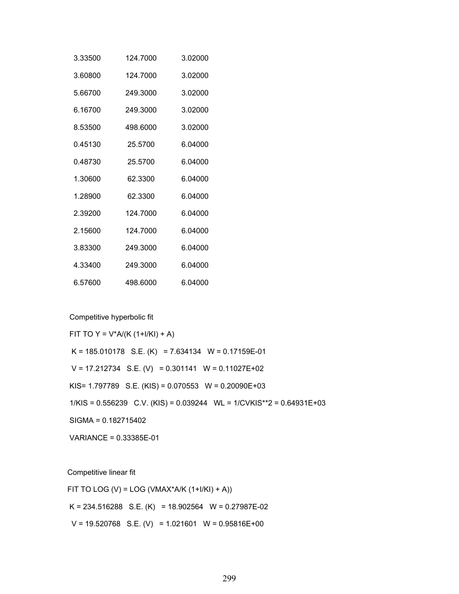| 3.33500 | 124.7000 | 3.02000 |
|---------|----------|---------|
| 3.60800 | 124.7000 | 3.02000 |
| 5.66700 | 249.3000 | 3.02000 |
| 6.16700 | 249.3000 | 3.02000 |
| 8.53500 | 498.6000 | 3.02000 |
| 0.45130 | 25.5700  | 6.04000 |
|         | 25.5700  | 6.04000 |
| 1.30600 | 62.3300  | 6.04000 |
| 1.28900 | 62.3300  | 6.04000 |
| 2.39200 | 124.7000 | 6.04000 |
| 2.15600 | 124.7000 | 6.04000 |
| 3.83300 | 249.3000 | 6.04000 |
| 4.33400 | 249.3000 | 6.04000 |
| 6.57600 | 498.6000 | 6.04000 |

Competitive hyperbolic fit

FIT TO Y =  $V^*A/(K (1+1/KI) + A)$  $K = 185.010178$  S.E.  $(K) = 7.634134$  W = 0.17159E-01  $V = 17.212734$  S.E. (V) = 0.301141 W = 0.11027E+02 KIS= 1.797789 S.E. (KIS) = 0.070553 W = 0.20090E+03 1/KIS = 0.556239 C.V. (KIS) = 0.039244 WL = 1/CVKIS\*\*2 = 0.64931E+03 SIGMA = 0.182715402 VARIANCE = 0.33385E-01

Competitive linear fit

FIT TO LOG (V) = LOG (VMAX\*A/K  $(1+I/KI) + A$ ))  $K = 234.516288$  S.E.  $(K) = 18.902564$  W = 0.27987E-02  $V = 19.520768$  S.E. (V) = 1.021601 W = 0.95816E+00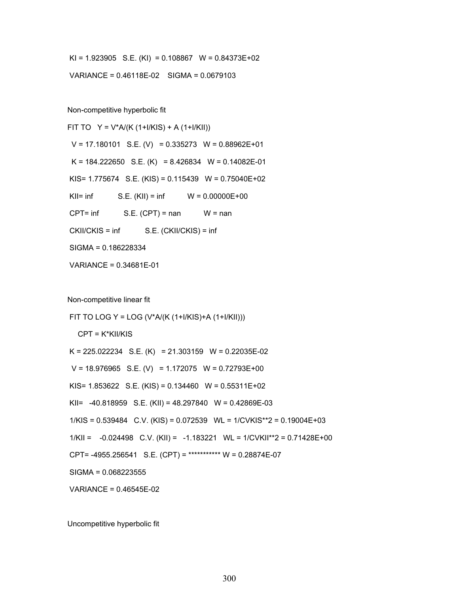$KI = 1.923905$  S.E.  $(KI) = 0.108867$  W = 0.84373E+02

VARIANCE = 0.46118E-02 SIGMA = 0.0679103

Non-competitive hyperbolic fit

FIT TO  $Y = V^*A/(K (1+I/KIS) + A (1+I/KII))$  $V = 17.180101$  S.E.  $(V) = 0.335273$  W = 0.88962E+01  $K = 184.222650$  S.E.  $(K) = 8.426834$  W = 0.14082E-01 KIS= 1.775674 S.E. (KIS) = 0.115439 W = 0.75040E+02 KII=  $\inf$  S.E. (KII) =  $\inf$  W = 0.00000E+00  $CPT = inf$  S.E.  $(CPT) = nan$  W = nan CKII/CKIS = inf S.E. (CKII/CKIS) = inf SIGMA = 0.186228334 VARIANCE = 0.34681E-01

Non-competitive linear fit

 FIT TO LOG Y = LOG (V\*A/(K (1+I/KIS)+A (1+I/KII))) CPT = K\*KII/KIS  $K = 225.022234$  S.E.  $(K) = 21.303159$  W = 0.22035E-02  $V = 18.976965$  S.E. (V) = 1.172075 W = 0.72793E+00 KIS=  $1.853622$  S.E. (KIS) =  $0.134460$  W =  $0.55311E+02$  KII= -40.818959 S.E. (KII) = 48.297840 W = 0.42869E-03 1/KIS = 0.539484 C.V. (KIS) = 0.072539 WL = 1/CVKIS\*\*2 = 0.19004E+03  $1/KII = -0.024498 \text{ C.V. (KII)} = -1.183221 \text{ WL} = 1/CVKII^{**} = 0.71428E + 00$  CPT= -4955.256541 S.E. (CPT) = \*\*\*\*\*\*\*\*\*\*\* W = 0.28874E-07 SIGMA = 0.068223555 VARIANCE = 0.46545E-02

Uncompetitive hyperbolic fit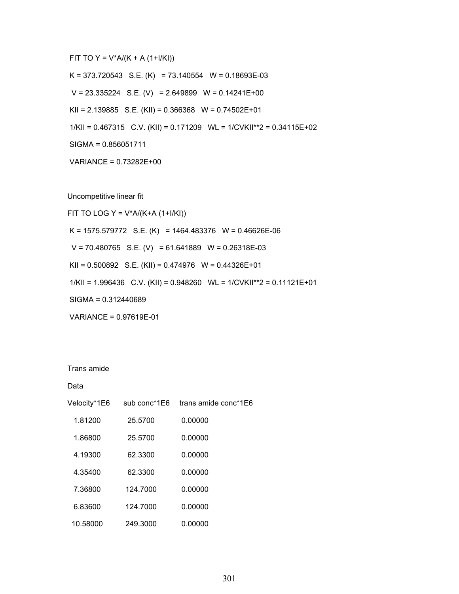FIT TO Y =  $V^*A/(K + A (1+1/KI))$ 

 $K = 373.720543$  S.E.  $(K) = 73.140554$  W = 0.18693E-03

 $V = 23.335224$  S.E. (V) = 2.649899 W = 0.14241E+00

KII =  $2.139885$  S.E. (KII) = 0.366368 W = 0.74502E+01

1/KII = 0.467315 C.V. (KII) = 0.171209 WL = 1/CVKII\*\*2 = 0.34115E+02

SIGMA = 0.856051711

VARIANCE = 0.73282E+00

Uncompetitive linear fit

FIT TO LOG Y =  $V^*A/(K+A (1+I/KI))$ K = 1575.579772 S.E. (K) = 1464.483376 W = 0.46626E-06  $V = 70.480765$  S.E. (V) = 61.641889 W = 0.26318E-03 KII =  $0.500892$  S.E. (KII) =  $0.474976$  W =  $0.44326E+01$  1/KII = 1.996436 C.V. (KII) = 0.948260 WL = 1/CVKII\*\*2 = 0.11121E+01 SIGMA = 0.312440689 VARIANCE = 0.97619E-01

Trans amide

Data

| Velocity*1E6 | sub conc*1E6 | trans amide conc*1E6 |
|--------------|--------------|----------------------|
| 1.81200      | 25.5700      | 0.00000              |
| 1.86800      | 25.5700      | 0.00000              |
| 4.19300      | 62.3300      | 0.00000              |
| 4.35400      | 62.3300      | 0.00000              |
| 7.36800      | 124.7000     | 0.00000              |
| 6.83600      | 124.7000     | 0.00000              |
| 10.58000     | 249.3000     | 0.00000              |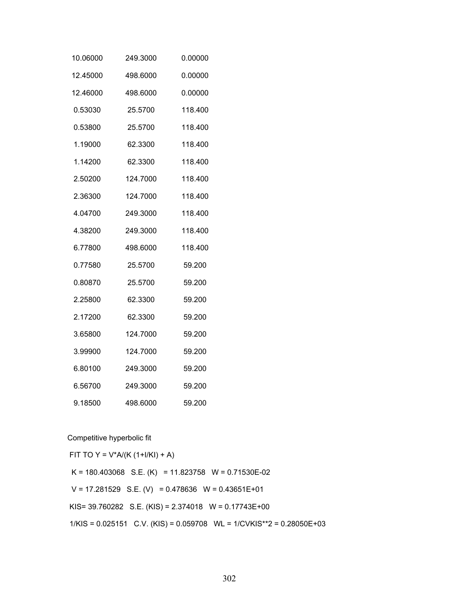| 10.06000 | 249.3000 | 0.00000 |
|----------|----------|---------|
| 12.45000 | 498.6000 | 0.00000 |
| 12.46000 | 498.6000 | 0.00000 |
| 0.53030  | 25.5700  | 118.400 |
| 0.53800  | 25.5700  | 118.400 |
| 1.19000  | 62.3300  | 118.400 |
| 1.14200  | 62.3300  | 118.400 |
| 2.50200  | 124.7000 | 118.400 |
| 2.36300  | 124.7000 | 118.400 |
| 4.04700  | 249.3000 | 118.400 |
| 4.38200  | 249.3000 | 118.400 |
| 6.77800  | 498.6000 | 118.400 |
| 0.77580  | 25.5700  | 59.200  |
| 0.80870  | 25.5700  | 59.200  |
| 2.25800  | 62.3300  | 59.200  |
| 2.17200  | 62.3300  | 59.200  |
| 3.65800  | 124.7000 | 59.200  |
| 3.99900  | 124.7000 | 59.200  |
| 6.80100  | 249.3000 | 59.200  |
| 6.56700  | 249.3000 | 59.200  |
| 9.18500  | 498.6000 | 59.200  |

Competitive hyperbolic fit

FIT TO Y =  $V^*A/(K (1+I/KI) + A)$  $K = 180.403068$  S.E.  $(K) = 11.823758$  W = 0.71530E-02  $V = 17.281529$  S.E. (V) = 0.478636 W = 0.43651E+01 KIS= 39.760282 S.E. (KIS) = 2.374018 W = 0.17743E+00 1/KIS = 0.025151 C.V. (KIS) = 0.059708 WL = 1/CVKIS\*\*2 = 0.28050E+03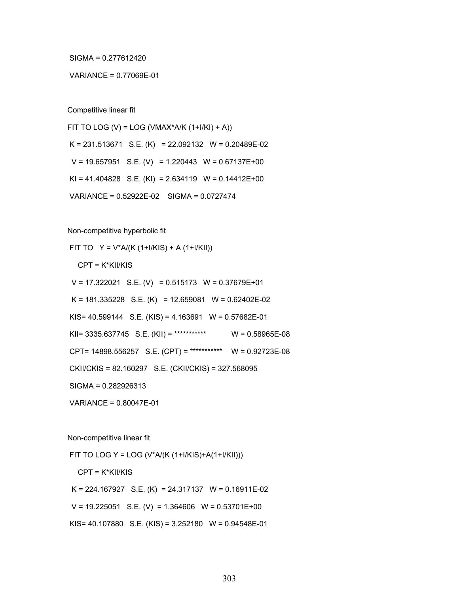SIGMA = 0.277612420

#### VARIANCE = 0.77069E-01

Competitive linear fit

FIT TO LOG (V) = LOG (VMAX\*A/K  $(1+I/KI) + A$ ))  $K = 231.513671$  S.E.  $(K) = 22.092132$  W = 0.20489E-02  $V = 19.657951$  S.E. (V) = 1.220443 W = 0.67137E+00 KI = 41.404828 S.E. (KI) = 2.634119 W =  $0.14412E+00$ VARIANCE = 0.52922E-02 SIGMA = 0.0727474

Non-competitive hyperbolic fit

FIT TO  $Y = V^*A/(K (1+1/KIS) + A (1+1/KII))$ 

CPT = K\*KII/KIS

 $V = 17.322021$  S.E. (V) = 0.515173 W = 0.37679E+01

 $K = 181.335228$  S.E.  $(K) = 12.659081$  W = 0.62402E-02

KIS= 40.599144 S.E. (KIS) = 4.163691 W = 0.57682E-01

KII= 3335.637745 S.E. (KII) = \*\*\*\*\*\*\*\*\*\*\*\*\*\*\*\* W = 0.58965E-08

CPT= 14898.556257 S.E. (CPT) = \*\*\*\*\*\*\*\*\*\*\* W = 0.92723E-08

CKII/CKIS = 82.160297 S.E. (CKII/CKIS) = 327.568095

SIGMA = 0.282926313

VARIANCE = 0.80047E-01

Non-competitive linear fit

FIT TO LOG Y = LOG (V\*A/(K (1+I/KIS)+A(1+I/KII)))

CPT = K\*KII/KIS

 $K = 224.167927$  S.E.  $(K) = 24.317137$  W = 0.16911E-02

 $V = 19.225051$  S.E. (V) = 1.364606 W = 0.53701E+00

KIS= 40.107880 S.E. (KIS) = 3.252180 W = 0.94548E-01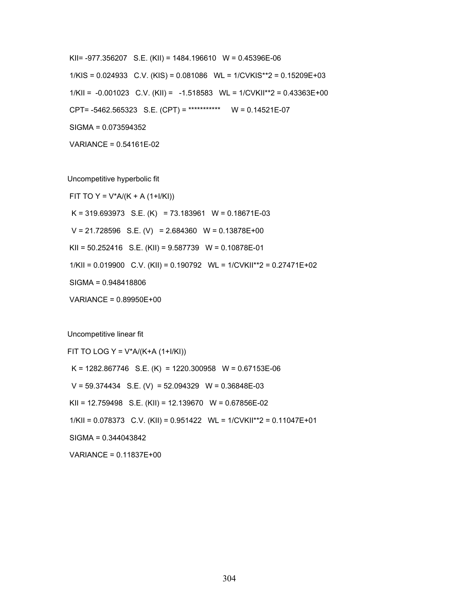KII= -977.356207 S.E. (KII) = 1484.196610 W = 0.45396E-06 1/KIS = 0.024933 C.V. (KIS) = 0.081086 WL = 1/CVKIS\*\*2 = 0.15209E+03  $1/KII = -0.001023$  C.V.  $(KII) = -1.518583$  WL =  $1/CVKII**2 = 0.43363E+00$  CPT= -5462.565323 S.E. (CPT) = \*\*\*\*\*\*\*\*\*\*\* W = 0.14521E-07 SIGMA = 0.073594352

VARIANCE = 0.54161E-02

Uncompetitive hyperbolic fit

FIT TO Y =  $V^*A/(K + A (1+I/KI))$ 

 $K = 319.693973$  S.E.  $(K) = 73.183961$  W = 0.18671E-03

 $V = 21.728596$  S.E. (V) = 2.684360 W = 0.13878E+00

KII = 50.252416 S.E. (KII) = 9.587739 W = 0.10878E-01

1/KII = 0.019900 C.V. (KII) = 0.190792 WL = 1/CVKII\*\*2 = 0.27471E+02

SIGMA = 0.948418806

VARIANCE = 0.89950E+00

Uncompetitive linear fit

FIT TO LOG Y =  $V^*A/(K+A (1+1/KI))$ 

 $K = 1282.867746$  S.E.  $(K) = 1220.300958$  W = 0.67153E-06

 $V = 59.374434$  S.E. (V) = 52.094329 W = 0.36848E-03

KII = 12.759498 S.E. (KII) = 12.139670 W = 0.67856E-02

1/KII = 0.078373 C.V. (KII) = 0.951422 WL = 1/CVKII\*\*2 = 0.11047E+01

SIGMA = 0.344043842

VARIANCE = 0.11837E+00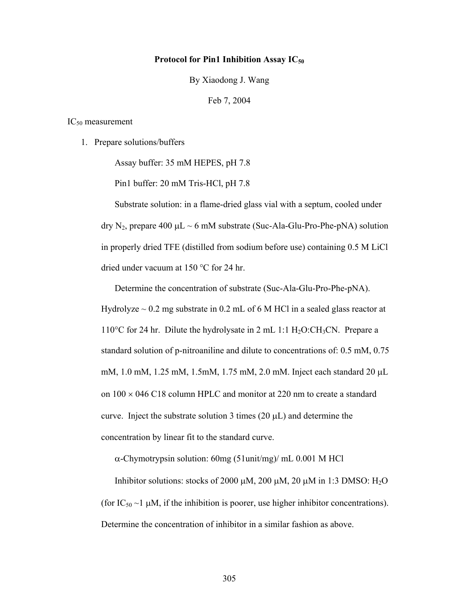#### **Protocol for Pin1 Inhibition Assay IC50**

By Xiaodong J. Wang

Feb 7, 2004

#### $IC_{50}$  measurement

1. Prepare solutions/buffers

Assay buffer: 35 mM HEPES, pH 7.8

Pin1 buffer: 20 mM Tris-HCl, pH 7.8

Substrate solution: in a flame-dried glass vial with a septum, cooled under dry N<sub>2</sub>, prepare 400  $\mu$ L ~ 6 mM substrate (Suc-Ala-Glu-Pro-Phe-pNA) solution in properly dried TFE (distilled from sodium before use) containing 0.5 M LiCl dried under vacuum at  $150 \degree C$  for 24 hr.

Determine the concentration of substrate (Suc-Ala-Glu-Pro-Phe-pNA). Hydrolyze  $\sim$  0.2 mg substrate in 0.2 mL of 6 M HCl in a sealed glass reactor at 110 $^{\circ}$ C for 24 hr. Dilute the hydrolysate in 2 mL 1:1 H<sub>2</sub>O:CH<sub>3</sub>CN. Prepare a standard solution of p-nitroaniline and dilute to concentrations of: 0.5 mM, 0.75 mM, 1.0 mM, 1.25 mM, 1.5mM, 1.75 mM, 2.0 mM. Inject each standard 20 µL on  $100 \times 046$  C18 column HPLC and monitor at 220 nm to create a standard curve. Inject the substrate solution 3 times  $(20 \mu L)$  and determine the concentration by linear fit to the standard curve.

α-Chymotrypsin solution: 60mg (51unit/mg)/ mL 0.001 M HCl

Inhibitor solutions: stocks of 2000  $\mu$ M, 200  $\mu$ M, 20  $\mu$ M in 1:3 DMSO: H<sub>2</sub>O (for  $IC_{50} \sim 1 \mu M$ , if the inhibition is poorer, use higher inhibitor concentrations). Determine the concentration of inhibitor in a similar fashion as above.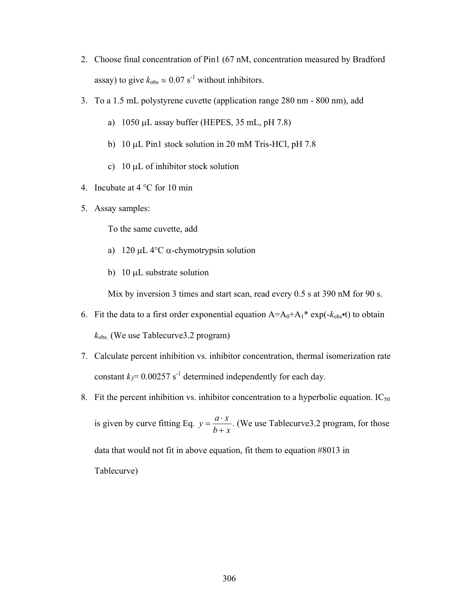- 2. Choose final concentration of Pin1 (67 nM, concentration measured by Bradford assay) to give  $k_{obs} \approx 0.07 \text{ s}^{-1}$  without inhibitors.
- 3. To a 1.5 mL polystyrene cuvette (application range 280 nm 800 nm), add
	- a) 1050 µL assay buffer (HEPES, 35 mL, pH 7.8)
	- b) 10 µL Pin1 stock solution in 20 mM Tris-HCl, pH 7.8
	- c)  $10 \mu L$  of inhibitor stock solution
- 4. Incubate at  $4^{\circ}$ C for 10 min
- 5. Assay samples:

To the same cuvette, add

- a) 120  $\mu$ L 4<sup>o</sup>C  $\alpha$ -chymotrypsin solution
- b) 10 µL substrate solution

Mix by inversion 3 times and start scan, read every 0.5 s at 390 nM for 90 s.

- 6. Fit the data to a first order exponential equation  $A = A_0 + A_1^* \exp(-k_{obs} \cdot t)$  to obtain *k*obs. (We use Tablecurve3.2 program)
- 7. Calculate percent inhibition vs. inhibitor concentration, thermal isomerization rate constant  $k_3$ = 0.00257 s<sup>-1</sup> determined independently for each day.
- 8. Fit the percent inhibition vs. inhibitor concentration to a hyperbolic equation.  $IC_{50}$ is given by curve fitting Eq.  $y = \frac{a \cdot x}{a}$ *b* + *x* . (We use Tablecurve3.2 program, for those data that would not fit in above equation, fit them to equation #8013 in Tablecurve)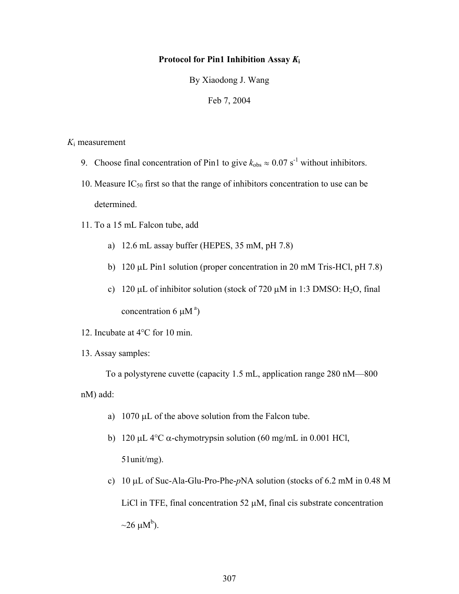### **Protocol for Pin1 Inhibition Assay** *K***<sup>i</sup>**

By Xiaodong J. Wang

Feb 7, 2004

*K*<sup>i</sup> measurement

- 9. Choose final concentration of Pin1 to give  $k_{obs} \approx 0.07 \text{ s}^{-1}$  without inhibitors.
- 10. Measure  $IC_{50}$  first so that the range of inhibitors concentration to use can be determined.
- 11. To a 15 mL Falcon tube, add
	- a) 12.6 mL assay buffer (HEPES, 35 mM, pH 7.8)
	- b) 120 µL Pin1 solution (proper concentration in 20 mM Tris-HCl, pH 7.8)
	- c) 120  $\mu$ L of inhibitor solution (stock of 720  $\mu$ M in 1:3 DMSO: H<sub>2</sub>O, final concentration 6  $\mu$ M<sup>a</sup>)
- 12. Incubate at  $4^{\circ}$ C for 10 min.
- 13. Assay samples:

 To a polystyrene cuvette (capacity 1.5 mL, application range 280 nM—800 nM) add:

- a)  $1070 \mu L$  of the above solution from the Falcon tube.
- b) 120  $\mu$ L 4<sup>o</sup>C  $\alpha$ -chymotrypsin solution (60 mg/mL in 0.001 HCl, 51unit/mg).
- c) 10 µL of Suc-Ala-Glu-Pro-Phe-*p*NA solution (stocks of 6.2 mM in 0.48 M LiCl in TFE, final concentration 52  $\mu$ M, final cis substrate concentration  $\sim$ 26  $\mu$ M<sup>b</sup>).